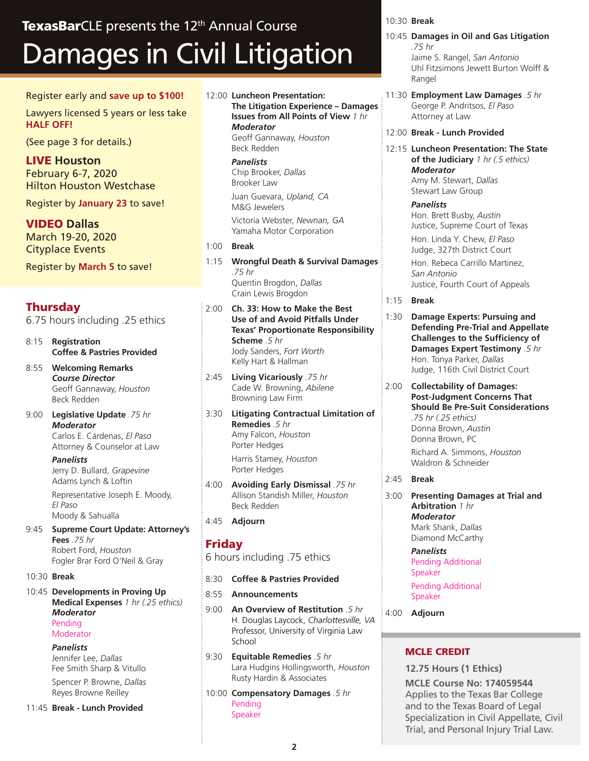# Damages in Civil Litigation TexasBarCLE presents the 12<sup>th</sup> Annual Course

#### Register early and **save up to \$100!**

Lawyers licensed 5 years or less take **HALF OFF!**

(See page 3 for details.)

LIVE **Houston** February 6-7, 2020 Hilton Houston Westchase

Register by **January 23** to save!

VIDEO **Dallas** March 19-20, 2020 Cityplace Events

Register by **March 5** to save!

# **Thursday**

6.75 hours including .25 ethics

- 8:15 **Registration Coffee & Pastries Provided**
- 8:55 **Welcoming Remarks**  *Course Director* Geoff Gannaway, *Houston* Beck Redden
- 9:00 **Legislative Update** *.75 hr Moderator*  Carlos E. Cárdenas, *El Paso* Attorney & Counselor at Law

*Panelists* Jerry D. Bullard, *Grapevine* Adams Lynch & Loftin

Representative Joseph E. Moody, *El Paso* Moody & Sahualla

9:45 **Supreme Court Update: Attorney's Fees** *.75 hr* Robert Ford, *Houston* Fogler Brar Ford O'Neil & Gray

#### 10:30 **Break**

10:45 **Developments in Proving Up Medical Expenses** *1 hr (.25 ethics) Moderator* Pending

# Moderator

*Panelists* Jennifer Lee, *Dallas* Fee Smith Sharp & Vitullo

Spencer P. Browne, *Dallas* Reyes Browne Reilley

11:45 **Break - Lunch Provided**

12:00 **Luncheon Presentation: The Litigation Experience – Damages Issues from All Points of View** *1 hr Moderator* Geoff Gannaway, *Houston* Beck Redden

> *Panelists* Chip Brooker, *Dallas* Brooker Law

Juan Guevara, *Upland, CA* M&G Jewelers

Victoria Webster, *Newnan, GA* Yamaha Motor Corporation

- 1:00 **Break**
- 1:15 **Wrongful Death & Survival Damages** *.75 hr* Quentin Brogdon, *Dallas* Crain Lewis Brogdon

2:00 **Ch. 33: How to Make the Best Use of and Avoid Pitfalls Under Texas' Proportionate Responsibility Scheme** *.5 hr* Jody Sanders, *Fort Worth* Kelly Hart & Hallman

2:45 **Living Vicariously** *.75 hr* Cade W. Browning, *Abilene* Browning Law Firm

3:30 **Litigating Contractual Limitation of Remedies** *.5 hr* Amy Falcon, *Houston* Porter Hedges Harris Stamey, *Houston*

Porter Hedges

- 4:00 **Avoiding Early Dismissal** *.75 hr* Allison Standish Miller, *Houston* Beck Redden
- 4:45 **Adjourn**

# Friday

6 hours including .75 ethics

- 8:30 **Coffee & Pastries Provided**
- 8:55 **Announcements**
- 9:00 **An Overview of Restitution** *.5 hr* H. Douglas Laycock, *Charlottesville, VA* Professor, University of Virginia Law **School**
- 9:30 **Equitable Remedies** *.5 hr* Lara Hudgins Hollingsworth, *Houston* Rusty Hardin & Associates
- 10:00 **Compensatory Damages** *.5 hr* Pending Speaker

#### 10:30 **Break**

- 10:45 **Damages in Oil and Gas Litigation** *.75 hr* Jaime S. Rangel, *San Antonio* Uhl Fitzsimons Jewett Burton Wolff & Rangel
- 11:30 **Employment Law Damages** *.5 hr* George P. Andritsos, *El Paso* Attorney at Law
- 12:00 **Break Lunch Provided**
- 12:15 **Luncheon Presentation: The State of the Judiciary** *1 hr (.5 ethics) Moderator*  Amy M. Stewart, *Dallas* Stewart Law Group

*Panelists*

Hon. Brett Busby, *Austin* Justice, Supreme Court of Texas Hon. Linda Y. Chew, *El Paso* Judge, 327th District Court Hon. Rebeca Carrillo Martinez, *San Antonio* Justice, Fourth Court of Appeals

- 1:15 **Break**
- 1:30 **Damage Experts: Pursuing and Defending Pre-Trial and Appellate Challenges to the Sufficiency of Damages Expert Testimony** *.5 hr* Hon. Tonya Parker, *Dallas* Judge, 116th Civil District Court
- 2:00 **Collectability of Damages: Post-Judgment Concerns That Should Be Pre-Suit Considerations** *.75 hr (.25 ethics)* Donna Brown, *Austin* Donna Brown, PC

Richard A. Simmons, *Houston* Waldron & Schneider

#### 2:45 **Break**

3:00 **Presenting Damages at Trial and Arbitration** *1 hr Moderator* Mark Shank, *Dallas* Diamond McCarthy

> *Panelists* Pending Additional Speaker Pending Additional Speaker

4:00 **Adjourn**

#### MCLE CREDIT

**12.75 Hours (1 Ethics) MCLE Course No: 174059544** Applies to the Texas Bar College and to the Texas Board of Legal Specialization in Civil Appellate, Civil Trial, and Personal Injury Trial Law.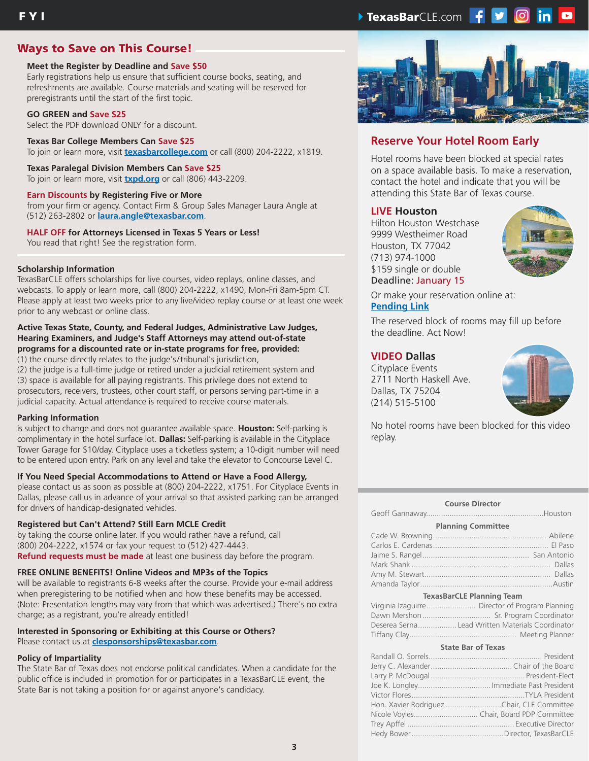# Ways to Save on This Course!

#### **Meet the Register by Deadline and Save \$50**

Early registrations help us ensure that sufficient course books, seating, and refreshments are available. Course materials and seating will be reserved for preregistrants until the start of the first topic.

#### **GO GREEN and Save \$25**

Select the PDF download ONLY for a discount.

#### **Texas Bar College Members Can Save \$25** To join or learn more, visit **texasbarcollege.com** or call (800) 204-2222, x1819.

#### **Texas Paralegal Division Members Can Save \$25**

To join or learn more, visit **txpd.org** or call (806) 443-2209.

#### **Earn Discounts by Registering Five or More**

from your firm or agency. Contact Firm & Group Sales Manager Laura Angle at (512) 263-2802 or **laura.angle@texasbar.com**.

#### **HALF OFF for Attorneys Licensed in Texas 5 Years or Less!**

You read that right! See the registration form.

#### **Scholarship Information**

TexasBarCLE offers scholarships for live courses, video replays, online classes, and webcasts. To apply or learn more, call (800) 204-2222, x1490, Mon-Fri 8am-5pm CT. Please apply at least two weeks prior to any live/video replay course or at least one week prior to any webcast or online class.

#### **Active Texas State, County, and Federal Judges, Administrative Law Judges, Hearing Examiners, and Judge's Staff Attorneys may attend out-of-state programs for a discounted rate or in-state programs for free, provided:**

(1) the course directly relates to the judge's/tribunal's jurisdiction,

(2) the judge is a full-time judge or retired under a judicial retirement system and (3) space is available for all paying registrants. This privilege does not extend to prosecutors, receivers, trustees, other court staff, or persons serving part-time in a judicial capacity. Actual attendance is required to receive course materials.

#### **Parking Information**

is subject to change and does not guarantee available space. **Houston:** Self-parking is complimentary in the hotel surface lot. **Dallas:** Self-parking is available in the Cityplace Tower Garage for \$10/day. Cityplace uses a ticketless system; a 10-digit number will need to be entered upon entry. Park on any level and take the elevator to Concourse Level C.

#### **If You Need Special Accommodations to Attend or Have a Food Allergy,**

please contact us as soon as possible at (800) 204-2222, x1751. For Cityplace Events in Dallas, please call us in advance of your arrival so that assisted parking can be arranged for drivers of handicap-designated vehicles.

#### **Registered but Can't Attend? Still Earn MCLE Credit**

by taking the course online later. If you would rather have a refund, call (800) 204-2222, x1574 or fax your request to (512) 427-4443. **Refund requests must be made** at least one business day before the program.

#### **FREE ONLINE BENEFITS! Online Videos and MP3s of the Topics**

will be available to registrants 6-8 weeks after the course. Provide your e-mail address when preregistering to be notified when and how these benefits may be accessed. (Note: Presentation lengths may vary from that which was advertised.) There's no extra charge; as a registrant, you're already entitled!

### **Interested in Sponsoring or Exhibiting at this Course or Others?**

Please contact us at **clesponsorships@texasbar.com**.

#### **Policy of Impartiality**

The State Bar of Texas does not endorse political candidates. When a candidate for the public office is included in promotion for or participates in a TexasBarCLE event, the State Bar is not taking a position for or against anyone's candidacy.



# **Reserve Your Hotel Room Early**

Hotel rooms have been blocked at special rates on a space available basis. To make a reservation, contact the hotel and indicate that you will be attending this State Bar of Texas course.

#### **LIVE Houston**

Hilton Houston Westchase 9999 Westheimer Road Houston, TX 77042 (713) 974-1000 \$159 single or double Deadline: January 15



Or make your reservation online at: **Pending Link**

The reserved block of rooms may fill up before the deadline. Act Now!

#### **VIDEO Dallas**

Cityplace Events 2711 North Haskell Ave. Dallas, TX 75204 (214) 515-5100



No hotel rooms have been blocked for this video replay.

#### **Course Director**

Geoff Gannaway.......................................................Houston

|  | <b>Planning Committee</b> |
|--|---------------------------|
|--|---------------------------|

#### **TexasBarCLE Planning Team**

| Deserea Serna Lead Written Materials Coordinator |  |
|--------------------------------------------------|--|
|                                                  |  |

#### **State Bar of Texas**

| Hon. Xavier Rodriguez Chair, CLE Committee |
|--------------------------------------------|
|                                            |
|                                            |
|                                            |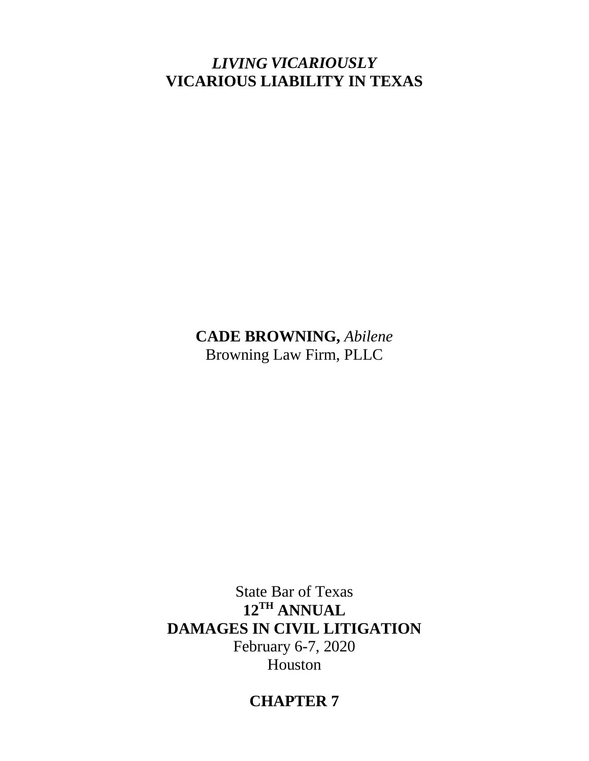# *LIVING VICARIOUSLY* **VICARIOUS LIABILITY IN TEXAS**

**CADE BROWNING,** *Abilene* Browning Law Firm, PLLC

State Bar of Texas **12TH ANNUAL DAMAGES IN CIVIL LITIGATION**  February 6-7, 2020 Houston

# **CHAPTER 7**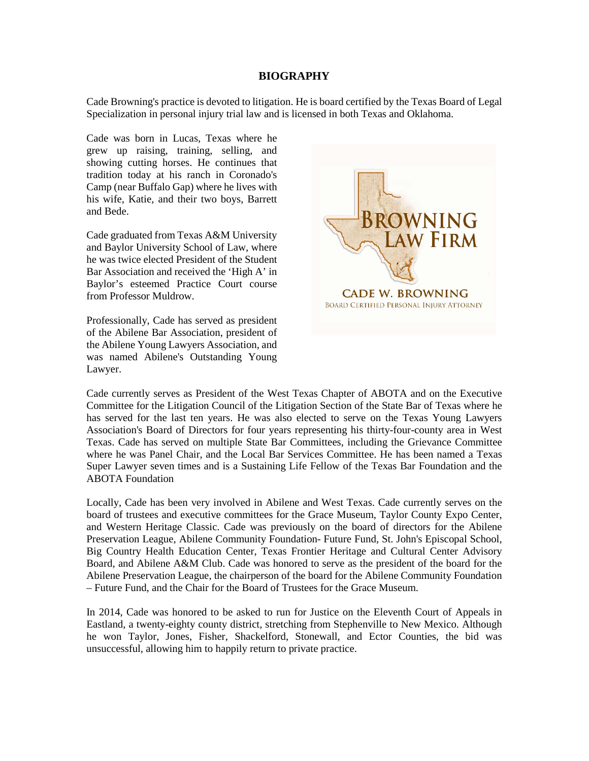#### **BIOGRAPHY**

Cade Browning's practice is devoted to litigation. He is board certified by the Texas Board of Legal Specialization in personal injury trial law and is licensed in both Texas and Oklahoma.

Cade was born in Lucas, Texas where he grew up raising, training, selling, and showing cutting horses. He continues that tradition today at his ranch in Coronado's Camp (near Buffalo Gap) where he lives with his wife, Katie, and their two boys, Barrett and Bede.

Cade graduated from Texas A&M University and Baylor University School of Law, where he was twice elected President of the Student Bar Association and received the 'High A' in Baylor's esteemed Practice Court course from Professor Muldrow.

Professionally, Cade has served as president of the Abilene Bar Association, president of the Abilene Young Lawyers Association, and was named Abilene's Outstanding Young Lawyer.



Cade currently serves as President of the West Texas Chapter of ABOTA and on the Executive Committee for the Litigation Council of the Litigation Section of the State Bar of Texas where he has served for the last ten years. He was also elected to serve on the Texas Young Lawyers Association's Board of Directors for four years representing his thirty-four-county area in West Texas. Cade has served on multiple State Bar Committees, including the Grievance Committee where he was Panel Chair, and the Local Bar Services Committee. He has been named a Texas Super Lawyer seven times and is a Sustaining Life Fellow of the Texas Bar Foundation and the ABOTA Foundation

Locally, Cade has been very involved in Abilene and West Texas. Cade currently serves on the board of trustees and executive committees for the Grace Museum, Taylor County Expo Center, and Western Heritage Classic. Cade was previously on the board of directors for the Abilene Preservation League, Abilene Community Foundation- Future Fund, St. John's Episcopal School, Big Country Health Education Center, Texas Frontier Heritage and Cultural Center Advisory Board, and Abilene A&M Club. Cade was honored to serve as the president of the board for the Abilene Preservation League, the chairperson of the board for the Abilene Community Foundation – Future Fund, and the Chair for the Board of Trustees for the Grace Museum.

In 2014, Cade was honored to be asked to run for Justice on the Eleventh Court of Appeals in Eastland, a twenty-eighty county district, stretching from Stephenville to New Mexico. Although he won Taylor, Jones, Fisher, Shackelford, Stonewall, and Ector Counties, the bid was unsuccessful, allowing him to happily return to private practice.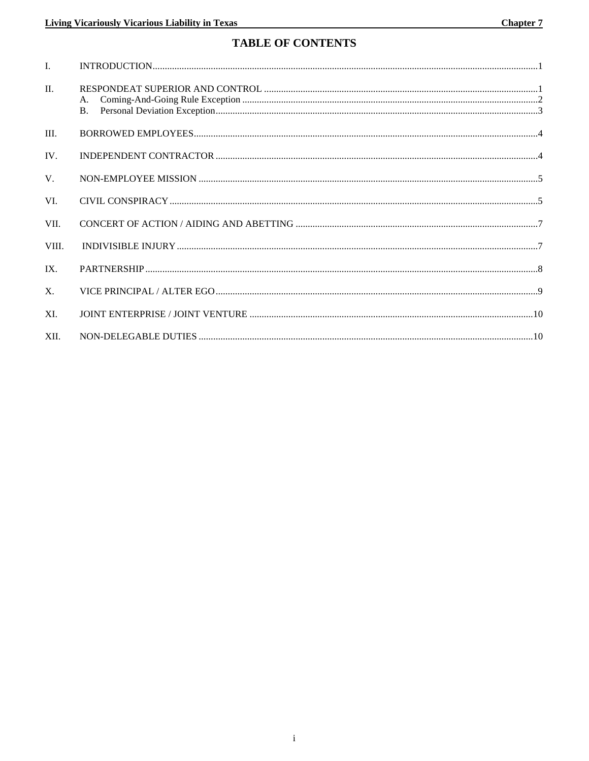# **TABLE OF CONTENTS**

| $\mathbf{I}$ . |          |
|----------------|----------|
| II.            | A.<br>B. |
| III.           |          |
| IV.            |          |
| $V_{\cdot}$    |          |
| VI.            |          |
| VII.           |          |
| VIII.          |          |
| IX.            |          |
| $X_{\cdot}$    |          |
| XI.            |          |
| XII.           |          |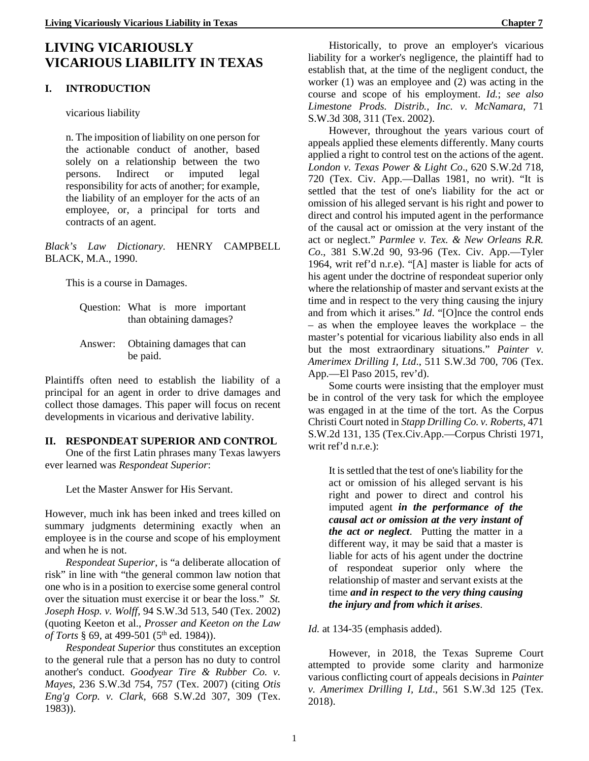#### **I. INTRODUCTION**

vicarious liability

n. The imposition of liability on one person for the actionable conduct of another, based solely on a relationship between the two persons. Indirect or imputed legal responsibility for acts of another; for example, the liability of an employer for the acts of an employee, or, a principal for torts and contracts of an agent.

*Black's Law Dictionary*. HENRY CAMPBELL BLACK, M.A., 1990.

This is a course in Damages.

Answer: Obtaining damages that can be paid.

Plaintiffs often need to establish the liability of a principal for an agent in order to drive damages and collect those damages. This paper will focus on recent developments in vicarious and derivative lability.

#### **II. RESPONDEAT SUPERIOR AND CONTROL**

One of the first Latin phrases many Texas lawyers ever learned was *Respondeat Superior*:

Let the Master Answer for His Servant.

However, much ink has been inked and trees killed on summary judgments determining exactly when an employee is in the course and scope of his employment and when he is not.

*Respondeat Superior*, is "a deliberate allocation of risk" in line with "the general common law notion that one who is in a position to exercise some general control over the situation must exercise it or bear the loss." *St. Joseph Hosp. v. Wolff*, 94 S.W.3d 513, 540 (Tex. 2002) (quoting Keeton et al., *Prosser and Keeton on the Law of Torts* § 69, at 499-501 (5<sup>th</sup> ed. 1984)).

*Respondeat Superior* thus constitutes an exception to the general rule that a person has no duty to control another's conduct. *Goodyear Tire & Rubber Co. v. Mayes*, 236 S.W.3d 754, 757 (Tex. 2007) (citing *Otis Eng'g Corp. v. Clark*, 668 S.W.2d 307, 309 (Tex. 1983)).

Historically, to prove an employer's vicarious liability for a worker's negligence, the plaintiff had to

establish that, at the time of the negligent conduct, the worker (1) was an employee and (2) was acting in the course and scope of his employment. *Id.*; *see also Limestone Prods. Distrib., Inc. v. McNamara*, 71 S.W.3d 308, 311 (Tex. 2002).

However, throughout the years various court of appeals applied these elements differently. Many courts applied a right to control test on the actions of the agent. *London v. Texas Power & Light Co*., 620 S.W.2d 718, 720 (Tex. Civ. App.—Dallas 1981, no writ). "It is settled that the test of one's liability for the act or omission of his alleged servant is his right and power to direct and control his imputed agent in the performance of the causal act or omission at the very instant of the act or neglect." *Parmlee v. Tex. & New Orleans R.R. Co*., 381 S.W.2d 90, 93-96 (Tex. Civ. App.—Tyler 1964, writ ref'd n.r.e). "[A] master is liable for acts of his agent under the doctrine of respondeat superior only where the relationship of master and servant exists at the time and in respect to the very thing causing the injury and from which it arises." *Id*. "[O]nce the control ends – as when the employee leaves the workplace – the master's potential for vicarious liability also ends in all but the most extraordinary situations." *Painter v. Amerimex Drilling I, Ltd*., 511 S.W.3d 700, 706 (Tex. App.—El Paso 2015, rev'd).

Some courts were insisting that the employer must be in control of the very task for which the employee was engaged in at the time of the tort. As the Corpus Christi Court noted in *Stapp Drilling Co. v. Roberts*, 471 S.W.2d 131, 135 (Tex.Civ.App.—Corpus Christi 1971, writ ref'd n.r.e.):

It is settled that the test of one's liability for the act or omission of his alleged servant is his right and power to direct and control his imputed agent *in the performance of the causal act or omission at the very instant of the act or neglect*. Putting the matter in a different way, it may be said that a master is liable for acts of his agent under the doctrine of respondeat superior only where the relationship of master and servant exists at the time *and in respect to the very thing causing the injury and from which it arises*.

*Id.* at 134-35 (emphasis added).

However, in 2018, the Texas Supreme Court attempted to provide some clarity and harmonize various conflicting court of appeals decisions in *Painter v. Amerimex Drilling I, Ltd*., 561 S.W.3d 125 (Tex. 2018).

Question: What is more important than obtaining damages?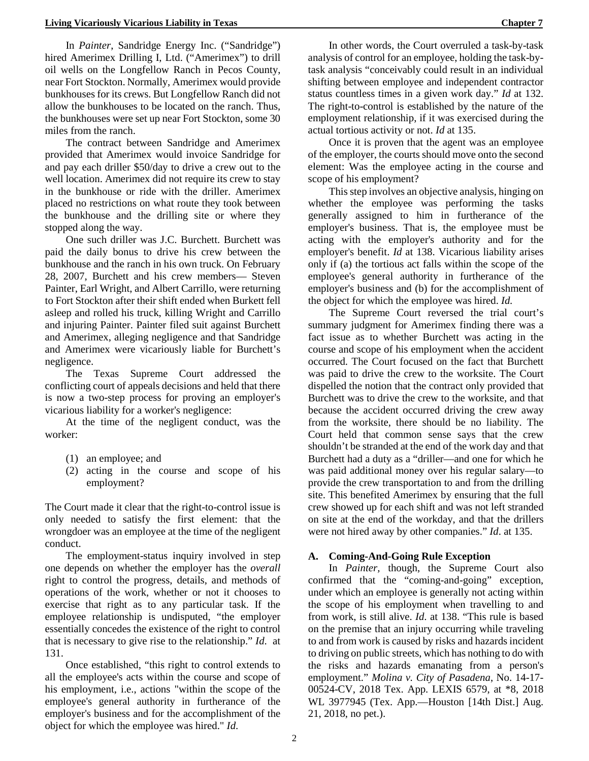In *Painter*, Sandridge Energy Inc. ("Sandridge") hired Amerimex Drilling I, Ltd. ("Amerimex") to drill oil wells on the Longfellow Ranch in Pecos County, near Fort Stockton. Normally, Amerimex would provide bunkhouses for its crews. But Longfellow Ranch did not allow the bunkhouses to be located on the ranch. Thus, the bunkhouses were set up near Fort Stockton, some 30 miles from the ranch.

The contract between Sandridge and Amerimex provided that Amerimex would invoice Sandridge for and pay each driller \$50/day to drive a crew out to the well location. Amerimex did not require its crew to stay in the bunkhouse or ride with the driller. Amerimex placed no restrictions on what route they took between the bunkhouse and the drilling site or where they stopped along the way.

One such driller was J.C. Burchett. Burchett was paid the daily bonus to drive his crew between the bunkhouse and the ranch in his own truck. On February 28, 2007, Burchett and his crew members— Steven Painter, Earl Wright, and Albert Carrillo, were returning to Fort Stockton after their shift ended when Burkett fell asleep and rolled his truck, killing Wright and Carrillo and injuring Painter. Painter filed suit against Burchett and Amerimex, alleging negligence and that Sandridge and Amerimex were vicariously liable for Burchett's negligence.

The Texas Supreme Court addressed the conflicting court of appeals decisions and held that there is now a two-step process for proving an employer's vicarious liability for a worker's negligence:

At the time of the negligent conduct, was the worker:

- (1) an employee; and
- (2) acting in the course and scope of his employment?

The Court made it clear that the right-to-control issue is only needed to satisfy the first element: that the wrongdoer was an employee at the time of the negligent conduct.

The employment-status inquiry involved in step one depends on whether the employer has the *overall* right to control the progress, details, and methods of operations of the work, whether or not it chooses to exercise that right as to any particular task. If the employee relationship is undisputed, "the employer essentially concedes the existence of the right to control that is necessary to give rise to the relationship." *Id*. at 131.

Once established, "this right to control extends to all the employee's acts within the course and scope of his employment, i.e., actions "within the scope of the employee's general authority in furtherance of the employer's business and for the accomplishment of the object for which the employee was hired." *Id*.

In other words, the Court overruled a task-by-task analysis of control for an employee, holding the task-bytask analysis "conceivably could result in an individual shifting between employee and independent contractor status countless times in a given work day." *Id* at 132. The right-to-control is established by the nature of the employment relationship, if it was exercised during the actual tortious activity or not. *Id* at 135.

Once it is proven that the agent was an employee of the employer, the courts should move onto the second element: Was the employee acting in the course and scope of his employment?

This step involves an objective analysis, hinging on whether the employee was performing the tasks generally assigned to him in furtherance of the employer's business. That is, the employee must be acting with the employer's authority and for the employer's benefit. *Id* at 138. Vicarious liability arises only if (a) the tortious act falls within the scope of the employee's general authority in furtherance of the employer's business and (b) for the accomplishment of the object for which the employee was hired. *Id.*

The Supreme Court reversed the trial court's summary judgment for Amerimex finding there was a fact issue as to whether Burchett was acting in the course and scope of his employment when the accident occurred. The Court focused on the fact that Burchett was paid to drive the crew to the worksite. The Court dispelled the notion that the contract only provided that Burchett was to drive the crew to the worksite, and that because the accident occurred driving the crew away from the worksite, there should be no liability. The Court held that common sense says that the crew shouldn't be stranded at the end of the work day and that Burchett had a duty as a "driller—and one for which he was paid additional money over his regular salary—to provide the crew transportation to and from the drilling site. This benefited Amerimex by ensuring that the full crew showed up for each shift and was not left stranded on site at the end of the workday, and that the drillers were not hired away by other companies." *Id*. at 135.

#### **A. Coming-And-Going Rule Exception**

In *Painter,* though, the Supreme Court also confirmed that the "coming-and-going" exception, under which an employee is generally not acting within the scope of his employment when travelling to and from work, is still alive. *Id*. at 138. "This rule is based on the premise that an injury occurring while traveling to and from work is caused by risks and hazards incident to driving on public streets, which has nothing to do with the risks and hazards emanating from a person's employment." *Molina v. City of Pasadena*, No. 14-17- 00524-CV, 2018 Tex. App. LEXIS 6579, at \*8, 2018 WL 3977945 (Tex. App.—Houston [14th Dist.] Aug. 21, 2018, no pet.).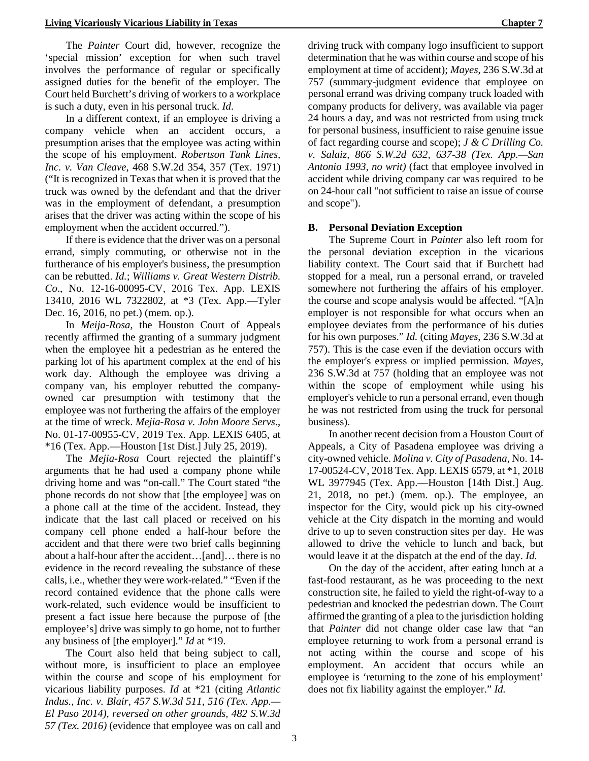The *Painter* Court did, however, recognize the 'special mission' exception for when such travel involves the performance of regular or specifically assigned duties for the benefit of the employer. The Court held Burchett's driving of workers to a workplace is such a duty, even in his personal truck. *Id*.

In a different context, if an employee is driving a company vehicle when an accident occurs, a presumption arises that the employee was acting within the scope of his employment. *Robertson Tank Lines, Inc. v. Van Cleave*, 468 S.W.2d 354, 357 (Tex. 1971) ("It is recognized in Texas that when it is proved that the truck was owned by the defendant and that the driver was in the employment of defendant, a presumption arises that the driver was acting within the scope of his employment when the accident occurred.").

If there is evidence that the driver was on a personal errand, simply commuting, or otherwise not in the furtherance of his employer's business, the presumption can be rebutted. *Id.*; *Williams v. Great Western Distrib. Co*., No. 12-16-00095-CV, 2016 Tex. App. LEXIS 13410, 2016 WL 7322802, at \*3 (Tex. App.—Tyler Dec. 16, 2016, no pet.) (mem. op.).

In *Meija-Rosa*, the Houston Court of Appeals recently affirmed the granting of a summary judgment when the employee hit a pedestrian as he entered the parking lot of his apartment complex at the end of his work day. Although the employee was driving a company van, his employer rebutted the companyowned car presumption with testimony that the employee was not furthering the affairs of the employer at the time of wreck. *Mejia-Rosa v. John Moore Servs*., No. 01-17-00955-CV, 2019 Tex. App. LEXIS 6405, at \*16 (Tex. App.—Houston [1st Dist.] July 25, 2019).

The *Mejia-Rosa* Court rejected the plaintiff's arguments that he had used a company phone while driving home and was "on-call." The Court stated "the phone records do not show that [the employee] was on a phone call at the time of the accident. Instead, they indicate that the last call placed or received on his company cell phone ended a half-hour before the accident and that there were two brief calls beginning about a half-hour after the accident…[and]… there is no evidence in the record revealing the substance of these calls, i.e., whether they were work-related." "Even if the record contained evidence that the phone calls were work-related, such evidence would be insufficient to present a fact issue here because the purpose of [the employee's] drive was simply to go home, not to further any business of [the employer]." *Id* at \*19.

The Court also held that being subject to call, without more, is insufficient to place an employee within the course and scope of his employment for vicarious liability purposes. *Id* at \*21 (citing *Atlantic Indus., Inc. v. Blair, 457 S.W.3d 511, 516 (Tex. App.— El Paso 2014), reversed on other grounds, 482 S.W.3d 57 (Tex. 2016)* (evidence that employee was on call and

driving truck with company logo insufficient to support determination that he was within course and scope of his employment at time of accident); *Mayes*, 236 S.W.3d at 757 (summary-judgment evidence that employee on personal errand was driving company truck loaded with company products for delivery, was available via pager 24 hours a day, and was not restricted from using truck for personal business, insufficient to raise genuine issue of fact regarding course and scope); *J & C Drilling Co. v. Salaiz, 866 S.W.2d 632, 637-38 (Tex. App.—San Antonio 1993, no writ)* (fact that employee involved in accident while driving company car was required to be on 24-hour call "not sufficient to raise an issue of course and scope").

#### **B. Personal Deviation Exception**

The Supreme Court in *Painter* also left room for the personal deviation exception in the vicarious liability context. The Court said that if Burchett had stopped for a meal, run a personal errand, or traveled somewhere not furthering the affairs of his employer. the course and scope analysis would be affected. "[A]n employer is not responsible for what occurs when an employee deviates from the performance of his duties for his own purposes." *Id.* (citing *Mayes*, 236 S.W.3d at 757). This is the case even if the deviation occurs with the employer's express or implied permission. *Mayes,*  236 S.W.3d at 757 (holding that an employee was not within the scope of employment while using his employer's vehicle to run a personal errand, even though he was not restricted from using the truck for personal business).

In another recent decision from a Houston Court of Appeals, a City of Pasadena employee was driving a city-owned vehicle. *Molina v. City of Pasadena*, No. 14- 17-00524-CV, 2018 Tex. App. LEXIS 6579, at \*1, 2018 WL 3977945 (Tex. App.—Houston [14th Dist.] Aug. 21, 2018, no pet.) (mem. op.). The employee, an inspector for the City, would pick up his city-owned vehicle at the City dispatch in the morning and would drive to up to seven construction sites per day. He was allowed to drive the vehicle to lunch and back, but would leave it at the dispatch at the end of the day. *Id.* 

On the day of the accident, after eating lunch at a fast-food restaurant, as he was proceeding to the next construction site, he failed to yield the right-of-way to a pedestrian and knocked the pedestrian down. The Court affirmed the granting of a plea to the jurisdiction holding that *Painter* did not change older case law that "an employee returning to work from a personal errand is not acting within the course and scope of his employment. An accident that occurs while an employee is 'returning to the zone of his employment' does not fix liability against the employer." *Id.*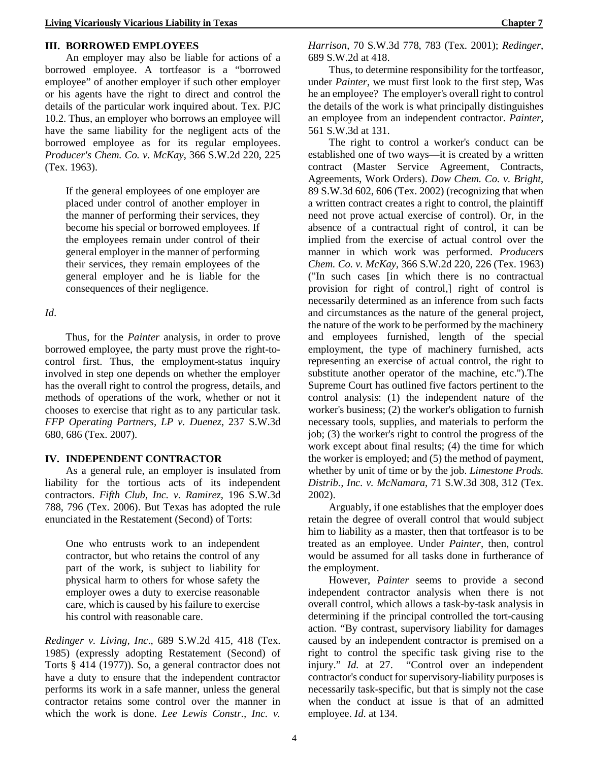#### **III. BORROWED EMPLOYEES**

An employer may also be liable for actions of a borrowed employee. A tortfeasor is a "borrowed employee" of another employer if such other employer or his agents have the right to direct and control the details of the particular work inquired about. Tex. PJC 10.2. Thus, an employer who borrows an employee will have the same liability for the negligent acts of the borrowed employee as for its regular employees. *Producer's Chem. Co. v. McKay*, 366 S.W.2d 220, 225 (Tex. 1963).

If the general employees of one employer are placed under control of another employer in the manner of performing their services, they become his special or borrowed employees. If the employees remain under control of their general employer in the manner of performing their services, they remain employees of the general employer and he is liable for the consequences of their negligence.

*Id*.

Thus, for the *Painter* analysis, in order to prove borrowed employee, the party must prove the right-tocontrol first. Thus, the employment-status inquiry involved in step one depends on whether the employer has the overall right to control the progress, details, and methods of operations of the work, whether or not it chooses to exercise that right as to any particular task. *FFP Operating Partners, LP v. Duenez*, 237 S.W.3d 680, 686 (Tex. 2007).

#### **IV. INDEPENDENT CONTRACTOR**

As a general rule, an employer is insulated from liability for the tortious acts of its independent contractors. *Fifth Club*, *Inc. v. Ramirez*, 196 S.W.3d 788, 796 (Tex. 2006). But Texas has adopted the rule enunciated in the Restatement (Second) of Torts:

One who entrusts work to an independent contractor, but who retains the control of any part of the work, is subject to liability for physical harm to others for whose safety the employer owes a duty to exercise reasonable care, which is caused by his failure to exercise his control with reasonable care.

*Redinger v. Living, Inc*., 689 S.W.2d 415, 418 (Tex. 1985) (expressly adopting Restatement (Second) of Torts § 414 (1977)). So, a general contractor does not have a duty to ensure that the independent contractor performs its work in a safe manner, unless the general contractor retains some control over the manner in which the work is done. *Lee Lewis Constr., Inc. v.* 

*Harrison*, 70 S.W.3d 778, 783 (Tex. 2001); *Redinger*, 689 S.W.2d at 418.

Thus, to determine responsibility for the tortfeasor, under *Painter*, we must first look to the first step, Was he an employee? The employer's overall right to control the details of the work is what principally distinguishes an employee from an independent contractor. *Painter*, 561 S.W.3d at 131.

The right to control a worker's conduct can be established one of two ways—it is created by a written contract (Master Service Agreement, Contracts, Agreements, Work Orders). *Dow Chem. Co. v. Bright*, 89 S.W.3d 602, 606 (Tex. 2002) (recognizing that when a written contract creates a right to control, the plaintiff need not prove actual exercise of control). Or, in the absence of a contractual right of control, it can be implied from the exercise of actual control over the manner in which work was performed. *Producers Chem. Co. v. McKay*, 366 S.W.2d 220, 226 (Tex. 1963) ("In such cases [in which there is no contractual provision for right of control,] right of control is necessarily determined as an inference from such facts and circumstances as the nature of the general project, the nature of the work to be performed by the machinery and employees furnished, length of the special employment, the type of machinery furnished, acts representing an exercise of actual control, the right to substitute another operator of the machine, etc.").The Supreme Court has outlined five factors pertinent to the control analysis: (1) the independent nature of the worker's business; (2) the worker's obligation to furnish necessary tools, supplies, and materials to perform the job; (3) the worker's right to control the progress of the work except about final results; (4) the time for which the worker is employed; and (5) the method of payment, whether by unit of time or by the job. *Limestone Prods. Distrib., Inc. v. McNamara*, 71 S.W.3d 308, 312 (Tex. 2002).

Arguably, if one establishes that the employer does retain the degree of overall control that would subject him to liability as a master, then that tortfeasor is to be treated as an employee. Under *Painter*, then, control would be assumed for all tasks done in furtherance of the employment.

However, *Painter* seems to provide a second independent contractor analysis when there is not overall control, which allows a task-by-task analysis in determining if the principal controlled the tort-causing action. "By contrast, supervisory liability for damages caused by an independent contractor is premised on a right to control the specific task giving rise to the injury." *Id.* at 27. "Control over an independent contractor's conduct for supervisory-liability purposes is necessarily task-specific, but that is simply not the case when the conduct at issue is that of an admitted employee. *Id*. at 134.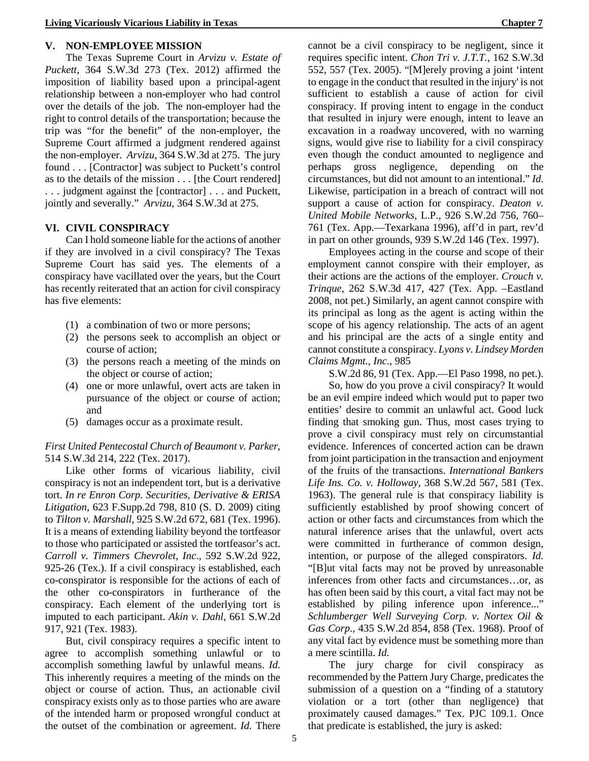#### **V. NON-EMPLOYEE MISSION**

The Texas Supreme Court in *Arvizu v. Estate of Puckett*, 364 S.W.3d 273 (Tex. 2012) affirmed the imposition of liability based upon a principal-agent relationship between a non-employer who had control over the details of the job. The non-employer had the right to control details of the transportation; because the trip was "for the benefit" of the non-employer, the Supreme Court affirmed a judgment rendered against the non-employer. *Arvizu*, 364 S.W.3d at 275. The jury found . . . [Contractor] was subject to Puckett's control as to the details of the mission . . . [the Court rendered] . . . judgment against the [contractor] . . . and Puckett, jointly and severally." *Arvizu*, 364 S.W.3d at 275.

#### **VI. CIVIL CONSPIRACY**

Can I hold someone liable for the actions of another if they are involved in a civil conspiracy? The Texas Supreme Court has said yes. The elements of a conspiracy have vacillated over the years, but the Court has recently reiterated that an action for civil conspiracy has five elements:

- (1) a combination of two or more persons;
- (2) the persons seek to accomplish an object or course of action;
- (3) the persons reach a meeting of the minds on the object or course of action;
- (4) one or more unlawful, overt acts are taken in pursuance of the object or course of action; and
- (5) damages occur as a proximate result.

#### *First United Pentecostal Church of Beaumont v. Parker*, 514 S.W.3d 214, 222 (Tex. 2017).

Like other forms of vicarious liability, civil conspiracy is not an independent tort, but is a derivative tort. *In re Enron Corp. Securities, Derivative & ERISA Litigation*, 623 F.Supp.2d 798, 810 (S. D. 2009) citing to *Tilton v. Marshall*, 925 S.W.2d 672, 681 (Tex. 1996). It is a means of extending liability beyond the tortfeasor to those who participated or assisted the tortfeasor's act. *Carroll v. Timmers Chevrolet, Inc*., 592 S.W.2d 922, 925-26 (Tex.). If a civil conspiracy is established, each co-conspirator is responsible for the actions of each of the other co-conspirators in furtherance of the conspiracy. Each element of the underlying tort is imputed to each participant. *Akin v. Dahl*, 661 S.W.2d 917, 921 (Tex. 1983).

But, civil conspiracy requires a specific intent to agree to accomplish something unlawful or to accomplish something lawful by unlawful means. *Id*. This inherently requires a meeting of the minds on the object or course of action. Thus, an actionable civil conspiracy exists only as to those parties who are aware of the intended harm or proposed wrongful conduct at the outset of the combination or agreement. *Id.* There

cannot be a civil conspiracy to be negligent, since it requires specific intent. *Chon Tri v. J.T.T.*, 162 S.W.3d 552, 557 (Tex. 2005). "[M]erely proving a joint 'intent to engage in the conduct that resulted in the injury' is not sufficient to establish a cause of action for civil conspiracy. If proving intent to engage in the conduct that resulted in injury were enough, intent to leave an excavation in a roadway uncovered, with no warning signs, would give rise to liability for a civil conspiracy even though the conduct amounted to negligence and perhaps gross negligence, depending on the circumstances, but did not amount to an intentional." *Id*. Likewise, participation in a breach of contract will not support a cause of action for conspiracy. *Deaton v. United Mobile Networks*, L.P., 926 S.W.2d 756, 760– 761 (Tex. App.—Texarkana 1996), aff'd in part, rev'd in part on other grounds, 939 S.W.2d 146 (Tex. 1997).

Employees acting in the course and scope of their employment cannot conspire with their employer, as their actions are the actions of the employer. *Crouch v. Trinque*, 262 S.W.3d 417, 427 (Tex. App. –Eastland 2008, not pet.) Similarly, an agent cannot conspire with its principal as long as the agent is acting within the scope of his agency relationship. The acts of an agent and his principal are the acts of a single entity and cannot constitute a conspiracy. *Lyons v. Lindsey Morden Claims Mgmt., Inc*., 985

S.W.2d 86, 91 (Tex. App.—El Paso 1998, no pet.).

So, how do you prove a civil conspiracy? It would be an evil empire indeed which would put to paper two entities' desire to commit an unlawful act. Good luck finding that smoking gun. Thus, most cases trying to prove a civil conspiracy must rely on circumstantial evidence. Inferences of concerted action can be drawn from joint participation in the transaction and enjoyment of the fruits of the transactions. *International Bankers Life Ins. Co. v. Holloway*, 368 S.W.2d 567, 581 (Tex. 1963). The general rule is that conspiracy liability is sufficiently established by proof showing concert of action or other facts and circumstances from which the natural inference arises that the unlawful, overt acts were committed in furtherance of common design, intention, or purpose of the alleged conspirators. *Id.*  "[B]ut vital facts may not be proved by unreasonable inferences from other facts and circumstances…or, as has often been said by this court, a vital fact may not be established by piling inference upon inference..." *Schlumberger Well Surveying Corp. v. Nortex Oil & Gas Corp*., 435 S.W.2d 854, 858 (Tex. 1968). Proof of any vital fact by evidence must be something more than a mere scintilla. *Id.* 

The jury charge for civil conspiracy as recommended by the Pattern Jury Charge, predicates the submission of a question on a "finding of a statutory violation or a tort (other than negligence) that proximately caused damages." Tex. PJC 109.1. Once that predicate is established, the jury is asked: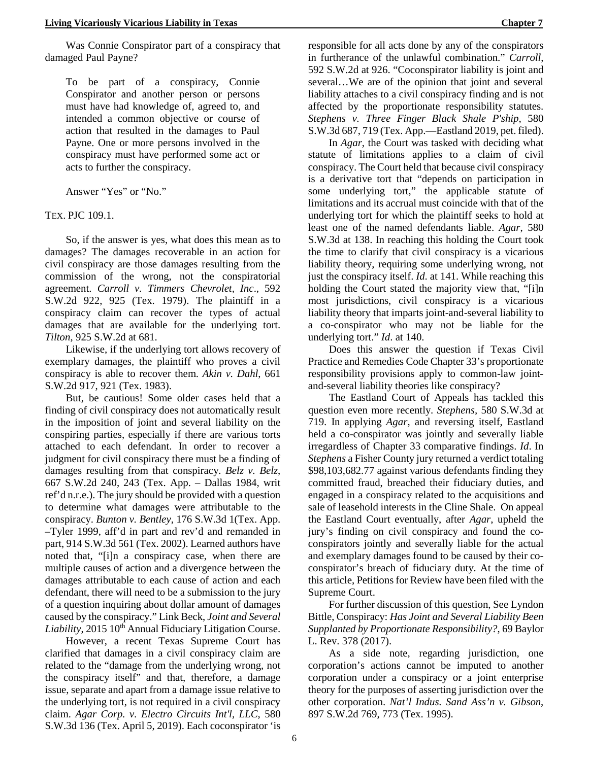Was Connie Conspirator part of a conspiracy that damaged Paul Payne?

To be part of a conspiracy, Connie Conspirator and another person or persons must have had knowledge of, agreed to, and intended a common objective or course of action that resulted in the damages to Paul Payne. One or more persons involved in the conspiracy must have performed some act or acts to further the conspiracy.

Answer "Yes" or "No."

TEX. PJC 109.1.

So, if the answer is yes, what does this mean as to damages? The damages recoverable in an action for civil conspiracy are those damages resulting from the commission of the wrong, not the conspiratorial agreement. *Carroll v. Timmers Chevrolet, Inc*., 592 S.W.2d 922, 925 (Tex. 1979). The plaintiff in a conspiracy claim can recover the types of actual damages that are available for the underlying tort. *Tilton*, 925 S.W.2d at 681.

Likewise, if the underlying tort allows recovery of exemplary damages, the plaintiff who proves a civil conspiracy is able to recover them. *Akin v. Dahl*, 661 S.W.2d 917, 921 (Tex. 1983).

But, be cautious! Some older cases held that a finding of civil conspiracy does not automatically result in the imposition of joint and several liability on the conspiring parties, especially if there are various torts attached to each defendant. In order to recover a judgment for civil conspiracy there must be a finding of damages resulting from that conspiracy. *Belz v. Belz*, 667 S.W.2d 240, 243 (Tex. App. – Dallas 1984, writ ref'd n.r.e.). The jury should be provided with a question to determine what damages were attributable to the conspiracy. *Bunton v. Bentley*, 176 S.W.3d 1(Tex. App. –Tyler 1999, aff'd in part and rev'd and remanded in part, 914 S.W.3d 561 (Tex. 2002). Learned authors have noted that, "[i]n a conspiracy case, when there are multiple causes of action and a divergence between the damages attributable to each cause of action and each defendant, there will need to be a submission to the jury of a question inquiring about dollar amount of damages caused by the conspiracy." Link Beck, *Joint and Several*  Liability, 2015 10<sup>th</sup> Annual Fiduciary Litigation Course.

However, a recent Texas Supreme Court has clarified that damages in a civil conspiracy claim are related to the "damage from the underlying wrong, not the conspiracy itself" and that, therefore, a damage issue, separate and apart from a damage issue relative to the underlying tort, is not required in a civil conspiracy claim. *Agar Corp. v. Electro Circuits Int'l, LLC*, 580 S.W.3d 136 (Tex. April 5, 2019). Each coconspirator 'is

responsible for all acts done by any of the conspirators in furtherance of the unlawful combination." *Carroll*, 592 S.W.2d at 926. "Coconspirator liability is joint and several…We are of the opinion that joint and several liability attaches to a civil conspiracy finding and is not affected by the proportionate responsibility statutes. *Stephens v. Three Finger Black Shale P'ship*, 580 S.W.3d 687, 719 (Tex. App.—Eastland 2019, pet. filed).

In *Agar*, the Court was tasked with deciding what statute of limitations applies to a claim of civil conspiracy. The Court held that because civil conspiracy is a derivative tort that "depends on participation in some underlying tort," the applicable statute of limitations and its accrual must coincide with that of the underlying tort for which the plaintiff seeks to hold at least one of the named defendants liable. *Agar*, 580 S.W.3d at 138. In reaching this holding the Court took the time to clarify that civil conspiracy is a vicarious liability theory, requiring some underlying wrong, not just the conspiracy itself. *Id*. at 141. While reaching this holding the Court stated the majority view that, "[i]n most jurisdictions, civil conspiracy is a vicarious liability theory that imparts joint-and-several liability to a co-conspirator who may not be liable for the underlying tort." *Id*. at 140.

Does this answer the question if Texas Civil Practice and Remedies Code Chapter 33's proportionate responsibility provisions apply to common-law jointand-several liability theories like conspiracy?

The Eastland Court of Appeals has tackled this question even more recently. *Stephens,* 580 S.W.3d at 719. In applying *Agar*, and reversing itself, Eastland held a co-conspirator was jointly and severally liable irregardless of Chapter 33 comparative findings. *Id*. In *Stephens* a Fisher County jury returned a verdict totaling \$98,103,682.77 against various defendants finding they committed fraud, breached their fiduciary duties, and engaged in a conspiracy related to the acquisitions and sale of leasehold interests in the Cline Shale. On appeal the Eastland Court eventually, after *Agar*, upheld the jury's finding on civil conspiracy and found the coconspirators jointly and severally liable for the actual and exemplary damages found to be caused by their coconspirator's breach of fiduciary duty. At the time of this article, Petitions for Review have been filed with the Supreme Court.

For further discussion of this question, See Lyndon Bittle, Conspiracy: *Has Joint and Several Liability Been Supplanted by Proportionate Responsibility?*, 69 Baylor L. Rev. 378 (2017).

As a side note, regarding jurisdiction, one corporation's actions cannot be imputed to another corporation under a conspiracy or a joint enterprise theory for the purposes of asserting jurisdiction over the other corporation. *Nat'l Indus. Sand Ass'n v. Gibson*, 897 S.W.2d 769, 773 (Tex. 1995).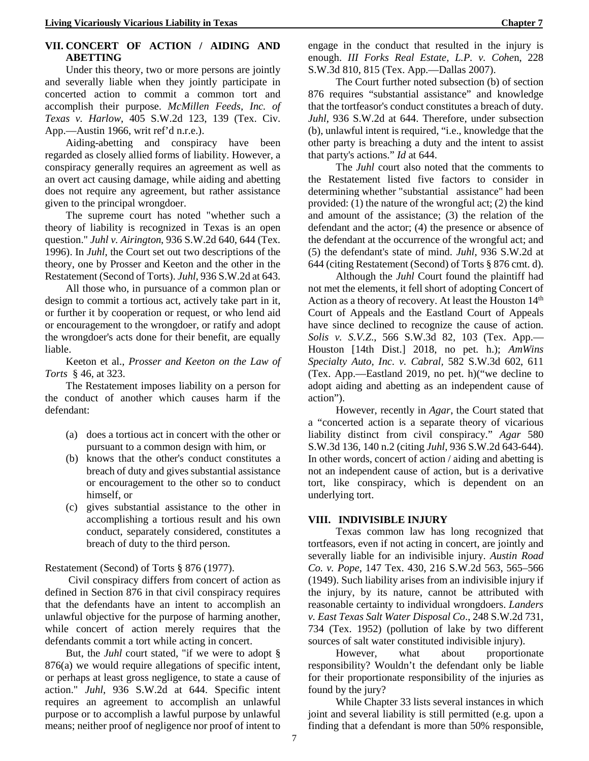#### **VII. CONCERT OF ACTION / AIDING AND ABETTING**

Under this theory, two or more persons are jointly and severally liable when they jointly participate in concerted action to commit a common tort and accomplish their purpose. *McMillen Feeds, Inc. of Texas v. Harlow*, 405 S.W.2d 123, 139 (Tex. Civ. App.—Austin 1966, writ ref'd n.r.e.).

Aiding-abetting and conspiracy have been regarded as closely allied forms of liability. However, a conspiracy generally requires an agreement as well as an overt act causing damage, while aiding and abetting does not require any agreement, but rather assistance given to the principal wrongdoer.

The supreme court has noted "whether such a theory of liability is recognized in Texas is an open question." *Juhl v. Airington*, 936 S.W.2d 640, 644 (Tex. 1996). In *Juhl*, the Court set out two descriptions of the theory, one by Prosser and Keeton and the other in the Restatement (Second of Torts). *Juhl*, 936 S.W.2d at 643.

All those who, in pursuance of a common plan or design to commit a tortious act, actively take part in it, or further it by cooperation or request, or who lend aid or encouragement to the wrongdoer, or ratify and adopt the wrongdoer's acts done for their benefit, are equally liable.

Keeton et al., *Prosser and Keeton on the Law of Torts* § 46, at 323.

The Restatement imposes liability on a person for the conduct of another which causes harm if the defendant:

- (a) does a tortious act in concert with the other or pursuant to a common design with him, or
- (b) knows that the other's conduct constitutes a breach of duty and gives substantial assistance or encouragement to the other so to conduct himself, or
- (c) gives substantial assistance to the other in accomplishing a tortious result and his own conduct, separately considered, constitutes a breach of duty to the third person.

Restatement (Second) of Torts § 876 (1977).

Civil conspiracy differs from concert of action as defined in Section 876 in that civil conspiracy requires that the defendants have an intent to accomplish an unlawful objective for the purpose of harming another, while concert of action merely requires that the defendants commit a tort while acting in concert.

But, the *Juhl* court stated, "if we were to adopt § 876(a) we would require allegations of specific intent, or perhaps at least gross negligence, to state a cause of action." *Juhl*, 936 S.W.2d at 644. Specific intent requires an agreement to accomplish an unlawful purpose or to accomplish a lawful purpose by unlawful means; neither proof of negligence nor proof of intent to

engage in the conduct that resulted in the injury is enough. *III Forks Real Estate, L.P. v. Cohe*n, 228 S.W.3d 810, 815 (Tex. App.—Dallas 2007).

The Court further noted subsection (b) of section 876 requires "substantial assistance" and knowledge that the tortfeasor's conduct constitutes a breach of duty. *Juhl*, 936 S.W.2d at 644. Therefore, under subsection (b), unlawful intent is required, "i.e., knowledge that the other party is breaching a duty and the intent to assist that party's actions." *Id* at 644.

The *Juhl* court also noted that the comments to the Restatement listed five factors to consider in determining whether "substantial assistance" had been provided: (1) the nature of the wrongful act; (2) the kind and amount of the assistance; (3) the relation of the defendant and the actor; (4) the presence or absence of the defendant at the occurrence of the wrongful act; and (5) the defendant's state of mind. *Juhl*, 936 S.W.2d at 644 (citing Restatement (Second) of Torts § 876 cmt. d).

Although the *Juhl* Court found the plaintiff had not met the elements, it fell short of adopting Concert of Action as a theory of recovery. At least the Houston  $14<sup>th</sup>$ Court of Appeals and the Eastland Court of Appeals have since declined to recognize the cause of action. *Solis v. S.V.Z*., 566 S.W.3d 82, 103 (Tex. App.— Houston [14th Dist.] 2018, no pet. h.); *AmWins Specialty Auto, Inc. v. Cabral,* 582 S.W.3d 602, 611 (Tex. App.—Eastland 2019, no pet. h)("we decline to adopt aiding and abetting as an independent cause of action").

However, recently in *Agar*, the Court stated that a "concerted action is a separate theory of vicarious liability distinct from civil conspiracy." *Agar* 580 S.W.3d 136, 140 n.2 (citing *Juhl*, 936 S.W.2d 643-644). In other words, concert of action / aiding and abetting is not an independent cause of action, but is a derivative tort, like conspiracy, which is dependent on an underlying tort.

#### **VIII. INDIVISIBLE INJURY**

Texas common law has long recognized that tortfeasors, even if not acting in concert, are jointly and severally liable for an indivisible injury. *Austin Road Co. v. Pope*, 147 Tex. 430, 216 S.W.2d 563, 565–566 (1949). Such liability arises from an indivisible injury if the injury, by its nature, cannot be attributed with reasonable certainty to individual wrongdoers. *Landers v. East Texas Salt Water Disposal Co*., 248 S.W.2d 731, 734 (Tex. 1952) (pollution of lake by two different sources of salt water constituted indivisible injury).

However, what about proportionate responsibility? Wouldn't the defendant only be liable for their proportionate responsibility of the injuries as found by the jury?

While Chapter 33 lists several instances in which joint and several liability is still permitted (e.g. upon a finding that a defendant is more than 50% responsible,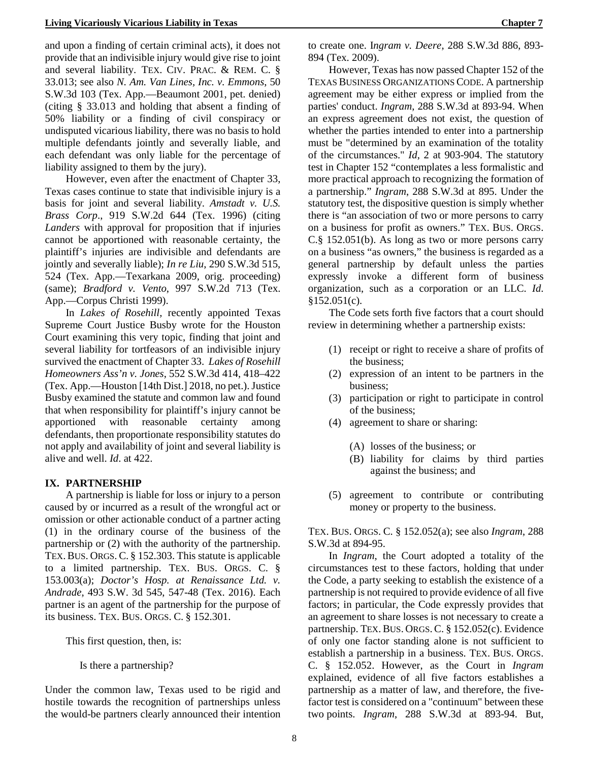and upon a finding of certain criminal acts), it does not provide that an indivisible injury would give rise to joint and several liability. TEX. CIV. PRAC. & REM. C. § 33.013; see also *N. Am. Van Lines, Inc. v. Emmons*, 50 S.W.3d 103 (Tex. App.—Beaumont 2001, pet. denied) (citing § 33.013 and holding that absent a finding of 50% liability or a finding of civil conspiracy or undisputed vicarious liability, there was no basis to hold multiple defendants jointly and severally liable, and each defendant was only liable for the percentage of liability assigned to them by the jury).

However, even after the enactment of Chapter 33, Texas cases continue to state that indivisible injury is a basis for joint and several liability. *Amstadt v. U.S. Brass Corp*., 919 S.W.2d 644 (Tex. 1996) (citing *Landers* with approval for proposition that if injuries cannot be apportioned with reasonable certainty, the plaintiff's injuries are indivisible and defendants are jointly and severally liable); *In re Liu*, 290 S.W.3d 515, 524 (Tex. App.—Texarkana 2009, orig. proceeding) (same); *Bradford v. Vento*, 997 S.W.2d 713 (Tex. App.—Corpus Christi 1999).

In *Lakes of Rosehill,* recently appointed Texas Supreme Court Justice Busby wrote for the Houston Court examining this very topic, finding that joint and several liability for tortfeasors of an indivisible injury survived the enactment of Chapter 33. *Lakes of Rosehill Homeowners Ass'n v. Jones*, 552 S.W.3d 414, 418–422 (Tex. App.—Houston [14th Dist.] 2018, no pet.). Justice Busby examined the statute and common law and found that when responsibility for plaintiff's injury cannot be apportioned with reasonable certainty among defendants, then proportionate responsibility statutes do not apply and availability of joint and several liability is alive and well. *Id*. at 422.

#### **IX. PARTNERSHIP**

A partnership is liable for loss or injury to a person caused by or incurred as a result of the wrongful act or omission or other actionable conduct of a partner acting (1) in the ordinary course of the business of the partnership or (2) with the authority of the partnership. TEX.BUS. ORGS. C. § 152.303. This statute is applicable to a limited partnership. TEX. BUS. ORGS. C. § 153.003(a); *Doctor's Hosp. at Renaissance Ltd. v. Andrade*, 493 S.W. 3d 545, 547-48 (Tex. 2016). Each partner is an agent of the partnership for the purpose of its business. TEX. BUS. ORGS. C. § 152.301.

This first question, then, is:

Is there a partnership?

Under the common law, Texas used to be rigid and hostile towards the recognition of partnerships unless the would-be partners clearly announced their intention to create one. I*ngram v. Deere*, 288 S.W.3d 886, 893- 894 (Tex. 2009).

However, Texas has now passed Chapter 152 of the TEXAS BUSINESS ORGANIZATIONS CODE. A partnership agreement may be either express or implied from the parties' conduct. *Ingram*, 288 S.W.3d at 893-94. When an express agreement does not exist, the question of whether the parties intended to enter into a partnership must be "determined by an examination of the totality of the circumstances." *Id*, 2 at 903-904. The statutory test in Chapter 152 "contemplates a less formalistic and more practical approach to recognizing the formation of a partnership." *Ingram*, 288 S.W.3d at 895. Under the statutory test, the dispositive question is simply whether there is "an association of two or more persons to carry on a business for profit as owners." TEX. BUS. ORGS. C.§ 152.051(b). As long as two or more persons carry on a business "as owners," the business is regarded as a general partnership by default unless the parties expressly invoke a different form of business organization, such as a corporation or an LLC. *Id*.  $$152.051(c).$ 

The Code sets forth five factors that a court should review in determining whether a partnership exists:

- (1) receipt or right to receive a share of profits of the business;
- (2) expression of an intent to be partners in the business;
- (3) participation or right to participate in control of the business;
- (4) agreement to share or sharing:
	- (A) losses of the business; or
	- (B) liability for claims by third parties against the business; and
- (5) agreement to contribute or contributing money or property to the business.

TEX. BUS. ORGS. C. § 152.052(a); see also *Ingram*, 288 S.W.3d at 894-95.

In *Ingram*, the Court adopted a totality of the circumstances test to these factors, holding that under the Code, a party seeking to establish the existence of a partnership is not required to provide evidence of all five factors; in particular, the Code expressly provides that an agreement to share losses is not necessary to create a partnership. TEX. BUS. ORGS. C. § 152.052(c). Evidence of only one factor standing alone is not sufficient to establish a partnership in a business. TEX. BUS. ORGS. C. § 152.052. However, as the Court in *Ingram* explained, evidence of all five factors establishes a partnership as a matter of law, and therefore, the fivefactor test is considered on a "continuum" between these two points. *Ingram*, 288 S.W.3d at 893-94. But,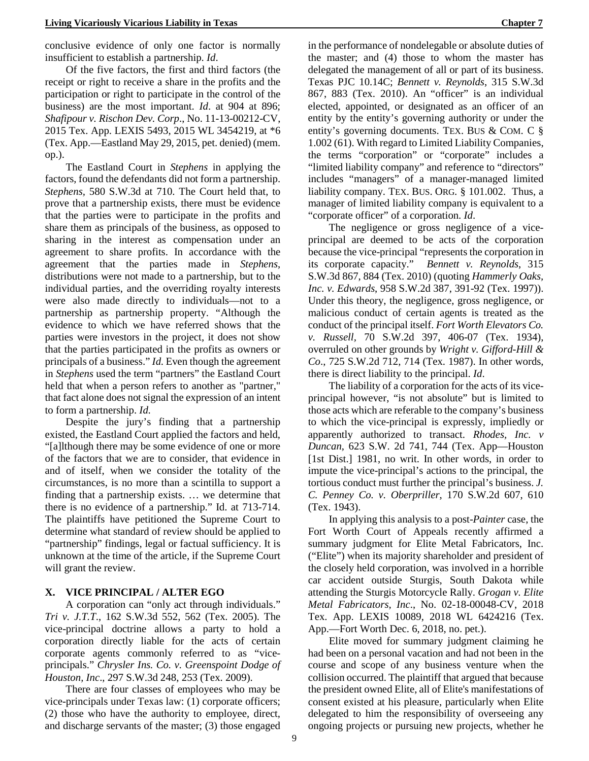conclusive evidence of only one factor is normally insufficient to establish a partnership. *Id*.

Of the five factors, the first and third factors (the receipt or right to receive a share in the profits and the participation or right to participate in the control of the business) are the most important. *Id*. at 904 at 896; *Shafipour v. Rischon Dev. Corp*., No. 11-13-00212-CV, 2015 Tex. App. LEXIS 5493, 2015 WL 3454219, at \*6 (Tex. App.—Eastland May 29, 2015, pet. denied) (mem. op.).

The Eastland Court in *Stephens* in applying the factors, found the defendants did not form a partnership. *Stephens,* 580 S.W.3d at 710. The Court held that, to prove that a partnership exists, there must be evidence that the parties were to participate in the profits and share them as principals of the business, as opposed to sharing in the interest as compensation under an agreement to share profits. In accordance with the agreement that the parties made in *Stephens*, distributions were not made to a partnership, but to the individual parties, and the overriding royalty interests were also made directly to individuals—not to a partnership as partnership property. "Although the evidence to which we have referred shows that the parties were investors in the project, it does not show that the parties participated in the profits as owners or principals of a business." *Id*. Even though the agreement in *Stephens* used the term "partners" the Eastland Court held that when a person refers to another as "partner," that fact alone does not signal the expression of an intent to form a partnership. *Id*.

Despite the jury's finding that a partnership existed, the Eastland Court applied the factors and held, "[a]lthough there may be some evidence of one or more of the factors that we are to consider, that evidence in and of itself, when we consider the totality of the circumstances, is no more than a scintilla to support a finding that a partnership exists. … we determine that there is no evidence of a partnership." Id. at 713-714. The plaintiffs have petitioned the Supreme Court to determine what standard of review should be applied to "partnership" findings, legal or factual sufficiency. It is unknown at the time of the article, if the Supreme Court will grant the review.

#### **X. VICE PRINCIPAL / ALTER EGO**

A corporation can "only act through individuals." *Tri v. J.T.T*., 162 S.W.3d 552, 562 (Tex. 2005). The vice-principal doctrine allows a party to hold a corporation directly liable for the acts of certain corporate agents commonly referred to as "viceprincipals." *Chrysler Ins. Co. v. Greenspoint Dodge of Houston, Inc*., 297 S.W.3d 248, 253 (Tex. 2009).

There are four classes of employees who may be vice-principals under Texas law: (1) corporate officers; (2) those who have the authority to employee, direct, and discharge servants of the master; (3) those engaged in the performance of nondelegable or absolute duties of the master; and (4) those to whom the master has delegated the management of all or part of its business. Texas PJC 10.14C; *Bennett v. Reynolds*, 315 S.W.3d 867, 883 (Tex. 2010). An "officer" is an individual elected, appointed, or designated as an officer of an entity by the entity's governing authority or under the entity's governing documents. TEX. BUS & COM. C § 1.002 (61). With regard to Limited Liability Companies, the terms "corporation" or "corporate" includes a "limited liability company" and reference to "directors" includes "managers" of a manager-managed limited liability company. TEX. BUS. ORG. § 101.002. Thus, a manager of limited liability company is equivalent to a "corporate officer" of a corporation. *Id*.

The negligence or gross negligence of a viceprincipal are deemed to be acts of the corporation because the vice-principal "represents the corporation in its corporate capacity." *Bennett v. Reynolds*, 315 S.W.3d 867, 884 (Tex. 2010) (quoting *Hammerly Oaks, Inc. v. Edwards*, 958 S.W.2d 387, 391-92 (Tex. 1997)). Under this theory, the negligence, gross negligence, or malicious conduct of certain agents is treated as the conduct of the principal itself. *Fort Worth Elevators Co. v. Russell,* 70 S.W.2d 397, 406-07 (Tex. 1934), overruled on other grounds by *Wright v. Gifford-Hill & Co*., 725 S.W.2d 712, 714 (Tex. 1987). In other words, there is direct liability to the principal. *Id*.

The liability of a corporation for the acts of its viceprincipal however, "is not absolute" but is limited to those acts which are referable to the company's business to which the vice-principal is expressly, impliedly or apparently authorized to transact. *Rhodes, Inc. v Duncan*, 623 S.W. 2d 741, 744 (Tex. App—Houston [1st Dist.] 1981, no writ. In other words, in order to impute the vice-principal's actions to the principal, the tortious conduct must further the principal's business. *J. C. Penney Co. v. Oberpriller*, 170 S.W.2d 607, 610 (Tex. 1943).

In applying this analysis to a post-*Painter* case, the Fort Worth Court of Appeals recently affirmed a summary judgment for Elite Metal Fabricators, Inc. ("Elite") when its majority shareholder and president of the closely held corporation, was involved in a horrible car accident outside Sturgis, South Dakota while attending the Sturgis Motorcycle Rally. *Grogan v. Elite Metal Fabricators, Inc*., No. 02-18-00048-CV, 2018 Tex. App. LEXIS 10089, 2018 WL 6424216 (Tex. App.—Fort Worth Dec. 6, 2018, no. pet.).

Elite moved for summary judgment claiming he had been on a personal vacation and had not been in the course and scope of any business venture when the collision occurred. The plaintiff that argued that because the president owned Elite, all of Elite's manifestations of consent existed at his pleasure, particularly when Elite delegated to him the responsibility of overseeing any ongoing projects or pursuing new projects, whether he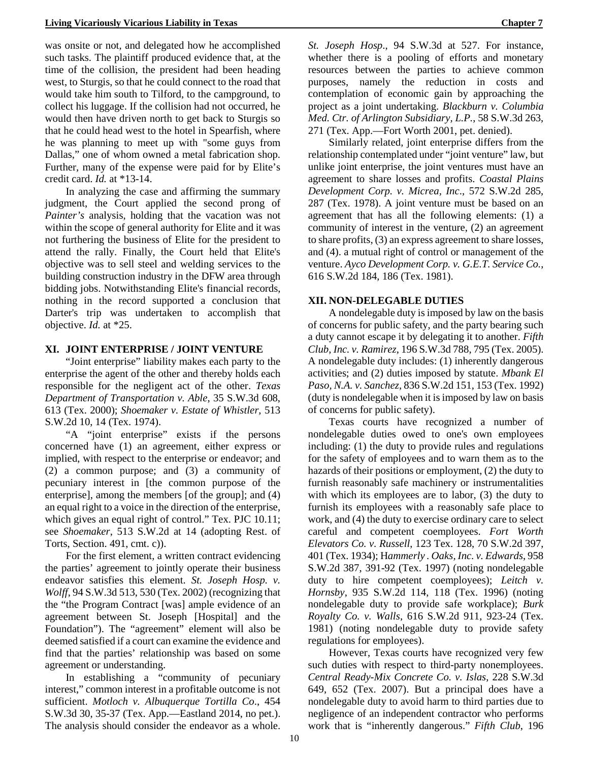was onsite or not, and delegated how he accomplished such tasks. The plaintiff produced evidence that, at the time of the collision, the president had been heading west, to Sturgis, so that he could connect to the road that would take him south to Tilford, to the campground, to collect his luggage. If the collision had not occurred, he would then have driven north to get back to Sturgis so that he could head west to the hotel in Spearfish, where he was planning to meet up with "some guys from Dallas," one of whom owned a metal fabrication shop. Further, many of the expense were paid for by Elite's credit card. *Id.* at \*13-14.

In analyzing the case and affirming the summary judgment, the Court applied the second prong of *Painter's* analysis, holding that the vacation was not within the scope of general authority for Elite and it was not furthering the business of Elite for the president to attend the rally. Finally, the Court held that Elite's objective was to sell steel and welding services to the building construction industry in the DFW area through bidding jobs. Notwithstanding Elite's financial records, nothing in the record supported a conclusion that Darter's trip was undertaken to accomplish that objective. *Id.* at \*25.

#### **XI. JOINT ENTERPRISE / JOINT VENTURE**

"Joint enterprise" liability makes each party to the enterprise the agent of the other and thereby holds each responsible for the negligent act of the other. *Texas Department of Transportation v. Able*, 35 S.W.3d 608, 613 (Tex. 2000); *Shoemaker v. Estate of Whistler*, 513 S.W.2d 10, 14 (Tex. 1974).

"A "joint enterprise" exists if the persons concerned have (1) an agreement, either express or implied, with respect to the enterprise or endeavor; and (2) a common purpose; and (3) a community of pecuniary interest in [the common purpose of the enterprise], among the members [of the group]; and (4) an equal right to a voice in the direction of the enterprise, which gives an equal right of control." Tex. PJC 10.11; see *Shoemaker*, 513 S.W.2d at 14 (adopting Rest. of Torts, Section. 491, cmt. c)).

For the first element, a written contract evidencing the parties' agreement to jointly operate their business endeavor satisfies this element. *St. Joseph Hosp. v. Wolff*, 94 S.W.3d 513, 530 (Tex. 2002) (recognizing that the "the Program Contract [was] ample evidence of an agreement between St. Joseph [Hospital] and the Foundation"). The "agreement" element will also be deemed satisfied if a court can examine the evidence and find that the parties' relationship was based on some agreement or understanding.

In establishing a "community of pecuniary interest," common interest in a profitable outcome is not sufficient. *Motloch v. Albuquerque Tortilla Co*., 454 S.W.3d 30, 35-37 (Tex. App.—Eastland 2014, no pet.). The analysis should consider the endeavor as a whole.

*St. Joseph Hosp*., 94 S.W.3d at 527. For instance, whether there is a pooling of efforts and monetary resources between the parties to achieve common purposes, namely the reduction in costs and contemplation of economic gain by approaching the project as a joint undertaking. *Blackburn v. Columbia Med. Ctr. of Arlington Subsidiary, L.P.*, 58 S.W.3d 263, 271 (Tex. App.—Fort Worth 2001, pet. denied).

Similarly related, joint enterprise differs from the relationship contemplated under "joint venture" law, but unlike joint enterprise, the joint ventures must have an agreement to share losses and profits. *Coastal Plains Development Corp. v. Micrea, Inc*., 572 S.W.2d 285, 287 (Tex. 1978). A joint venture must be based on an agreement that has all the following elements: (1) a community of interest in the venture, (2) an agreement to share profits, (3) an express agreement to share losses, and (4). a mutual right of control or management of the venture. *Ayco Development Corp. v. G.E.T. Service Co.*, 616 S.W.2d 184, 186 (Tex. 1981).

#### **XII. NON-DELEGABLE DUTIES**

A nondelegable duty is imposed by law on the basis of concerns for public safety, and the party bearing such a duty cannot escape it by delegating it to another. *Fifth Club, Inc. v. Ramirez*, 196 S.W.3d 788, 795 (Tex. 2005). A nondelegable duty includes: (1) inherently dangerous activities; and (2) duties imposed by statute. *Mbank El Paso, N.A. v. Sanchez*, 836 S.W.2d 151, 153 (Tex. 1992) (duty is nondelegable when it is imposed by law on basis of concerns for public safety).

Texas courts have recognized a number of nondelegable duties owed to one's own employees including: (1) the duty to provide rules and regulations for the safety of employees and to warn them as to the hazards of their positions or employment, (2) the duty to furnish reasonably safe machinery or instrumentalities with which its employees are to labor,  $(3)$  the duty to furnish its employees with a reasonably safe place to work, and (4) the duty to exercise ordinary care to select careful and competent coemployees. *Fort Worth Elevators Co. v. Russell*, 123 Tex. 128, 70 S.W.2d 397, 401 (Tex. 1934); H*ammerly . Oaks, Inc. v. Edwards*, 958 S.W.2d 387, 391-92 (Tex. 1997) (noting nondelegable duty to hire competent coemployees); *Leitch v. Hornsby*, 935 S.W.2d 114, 118 (Tex. 1996) (noting nondelegable duty to provide safe workplace); *Burk Royalty Co. v. Walls*, 616 S.W.2d 911, 923-24 (Tex. 1981) (noting nondelegable duty to provide safety regulations for employees).

However, Texas courts have recognized very few such duties with respect to third-party nonemployees. *Central Ready-Mix Concrete Co. v. Islas*, 228 S.W.3d 649, 652 (Tex. 2007). But a principal does have a nondelegable duty to avoid harm to third parties due to negligence of an independent contractor who performs work that is "inherently dangerous." *Fifth Club*, 196